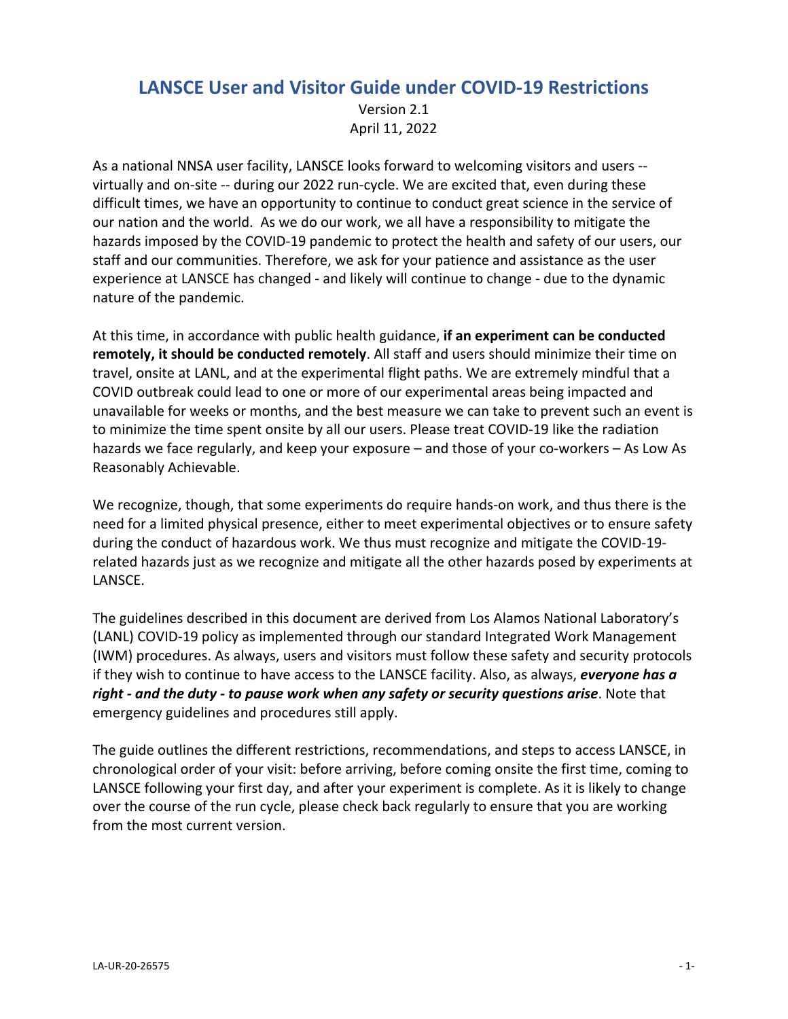# **LANSCE User and Visitor Guide under COVID‐19 Restrictions** Version 2.1 April 11, 2022

As a national NNSA user facility, LANSCE looks forward to welcoming visitors and users ‐‐ virtually and on‐site ‐‐ during our 2022 run‐cycle. We are excited that, even during these difficult times, we have an opportunity to continue to conduct great science in the service of our nation and the world. As we do our work, we all have a responsibility to mitigate the hazards imposed by the COVID‐19 pandemic to protect the health and safety of our users, our staff and our communities. Therefore, we ask for your patience and assistance as the user experience at LANSCE has changed ‐ and likely will continue to change ‐ due to the dynamic nature of the pandemic.

At this time, in accordance with public health guidance, **if an experiment can be conducted remotely, it should be conducted remotely**. All staff and users should minimize their time on travel, onsite at LANL, and at the experimental flight paths. We are extremely mindful that a COVID outbreak could lead to one or more of our experimental areas being impacted and unavailable for weeks or months, and the best measure we can take to prevent such an event is to minimize the time spent onsite by all our users. Please treat COVID‐19 like the radiation hazards we face regularly, and keep your exposure – and those of your co-workers – As Low As Reasonably Achievable.

We recognize, though, that some experiments do require hands-on work, and thus there is the need for a limited physical presence, either to meet experimental objectives or to ensure safety during the conduct of hazardous work. We thus must recognize and mitigate the COVID‐19‐ related hazards just as we recognize and mitigate all the other hazards posed by experiments at LANSCE.

The guidelines described in this document are derived from Los Alamos National Laboratory's (LANL) COVID‐19 policy as implemented through our standard Integrated Work Management (IWM) procedures. As always, users and visitors must follow these safety and security protocols if they wish to continue to have access to the LANSCE facility. Also, as always, *everyone has a right ‐ and the duty ‐ to pause work when any safety or security questions arise*. Note that emergency guidelines and procedures still apply.

The guide outlines the different restrictions, recommendations, and steps to access LANSCE, in chronological order of your visit: before arriving, before coming onsite the first time, coming to LANSCE following your first day, and after your experiment is complete. As it is likely to change over the course of the run cycle, please check back regularly to ensure that you are working from the most current version.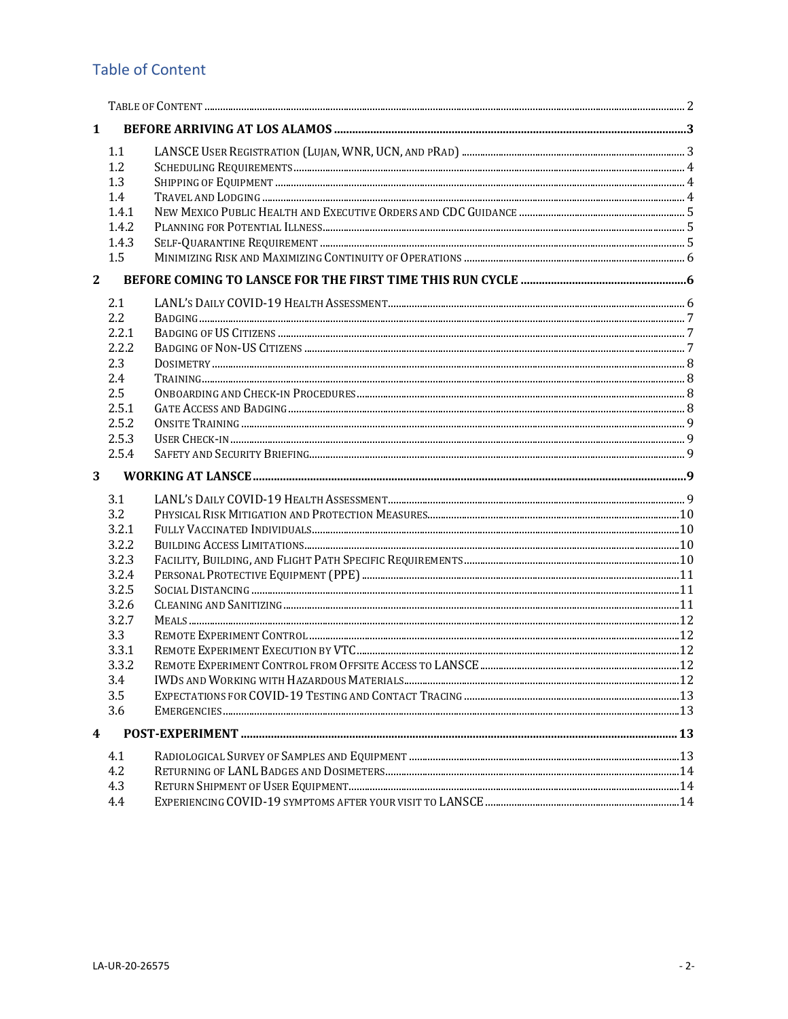# **Table of Content**

| $\mathbf{1}$            |            |  |  |  |  |
|-------------------------|------------|--|--|--|--|
|                         | 1.1        |  |  |  |  |
|                         | 1.2        |  |  |  |  |
|                         | 1.3        |  |  |  |  |
|                         | 1.4        |  |  |  |  |
|                         | 1.4.1      |  |  |  |  |
|                         | 1.4.2      |  |  |  |  |
|                         | 1.4.3      |  |  |  |  |
|                         | 1.5        |  |  |  |  |
| $\mathbf{2}$            |            |  |  |  |  |
|                         | 2.1        |  |  |  |  |
|                         | 2.2        |  |  |  |  |
|                         | 2.2.1      |  |  |  |  |
|                         | 2.2.2      |  |  |  |  |
|                         | 2.3        |  |  |  |  |
|                         | 2.4        |  |  |  |  |
|                         | 2.5        |  |  |  |  |
|                         | 2.5.1      |  |  |  |  |
|                         | 2.5.2      |  |  |  |  |
|                         | 2.5.3      |  |  |  |  |
|                         | 2.5.4      |  |  |  |  |
| 3                       |            |  |  |  |  |
|                         | 3.1        |  |  |  |  |
|                         | 3.2        |  |  |  |  |
|                         | 3.2.1      |  |  |  |  |
|                         | 3.2.2      |  |  |  |  |
|                         |            |  |  |  |  |
|                         | 3.2.3      |  |  |  |  |
|                         | 3.2.4      |  |  |  |  |
|                         | 3.2.5      |  |  |  |  |
|                         | 3.2.6      |  |  |  |  |
|                         | 3.2.7      |  |  |  |  |
|                         | 3.3        |  |  |  |  |
|                         | 3.3.1      |  |  |  |  |
|                         | 3.3.2      |  |  |  |  |
|                         | 3.4        |  |  |  |  |
|                         | 3.5        |  |  |  |  |
|                         | 3.6        |  |  |  |  |
| $\overline{\mathbf{4}}$ |            |  |  |  |  |
|                         | 4.1        |  |  |  |  |
|                         | 4.2        |  |  |  |  |
|                         | 4.3<br>4.4 |  |  |  |  |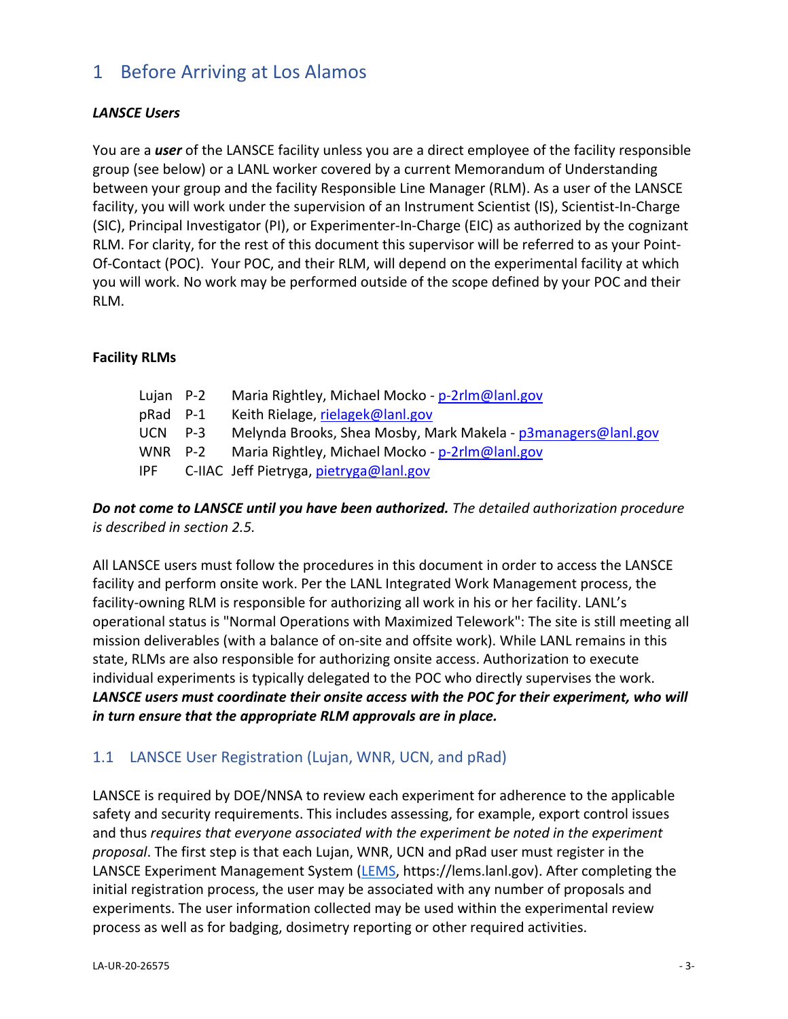# 1 Before Arriving at Los Alamos

### *LANSCE Users*

You are a *user* of the LANSCE facility unless you are a direct employee of the facility responsible group (see below) or a LANL worker covered by a current Memorandum of Understanding between your group and the facility Responsible Line Manager (RLM). As a user of the LANSCE facility, you will work under the supervision of an Instrument Scientist (IS), Scientist‐In‐Charge (SIC), Principal Investigator (PI), or Experimenter‐In‐Charge (EIC) as authorized by the cognizant RLM. For clarity, for the rest of this document this supervisor will be referred to as your Point‐ Of-Contact (POC). Your POC, and their RLM, will depend on the experimental facility at which you will work. No work may be performed outside of the scope defined by your POC and their RLM.

#### **Facility RLMs**

| Lujan P-2 | Maria Rightley, Michael Mocko - p-2rlm@lanl.gov               |
|-----------|---------------------------------------------------------------|
| pRad P-1  | Keith Rielage, rielagek@lanl.gov                              |
| UCN P-3   | Melynda Brooks, Shea Mosby, Mark Makela - p3managers@lanl.gov |
|           | WNR P-2 Maria Rightley, Michael Mocko - p-2rlm@lanl.gov       |
|           | IPF C-IIAC Jeff Pietryga, pietryga@lanl.gov                   |
|           |                                                               |

### *Do not come to LANSCE until you have been authorized. The detailed authorization procedure is described in section 2.5.*

All LANSCE users must follow the procedures in this document in order to access the LANSCE facility and perform onsite work. Per the LANL Integrated Work Management process, the facility-owning RLM is responsible for authorizing all work in his or her facility. LANL's operational status is "Normal Operations with Maximized Telework": The site is still meeting all mission deliverables (with a balance of on‐site and offsite work). While LANL remains in this state, RLMs are also responsible for authorizing onsite access. Authorization to execute individual experiments is typically delegated to the POC who directly supervises the work. *LANSCE users must coordinate their onsite access with the POC for their experiment, who will in turn ensure that the appropriate RLM approvals are in place.*

# 1.1 LANSCE User Registration (Lujan, WNR, UCN, and pRad)

LANSCE is required by DOE/NNSA to review each experiment for adherence to the applicable safety and security requirements. This includes assessing, for example, export control issues and thus *requires that everyone associated with the experiment be noted in the experiment proposal*. The first step is that each Lujan, WNR, UCN and pRad user must register in the LANSCE Experiment Management System (LEMS, https://lems.lanl.gov). After completing the initial registration process, the user may be associated with any number of proposals and experiments. The user information collected may be used within the experimental review process as well as for badging, dosimetry reporting or other required activities.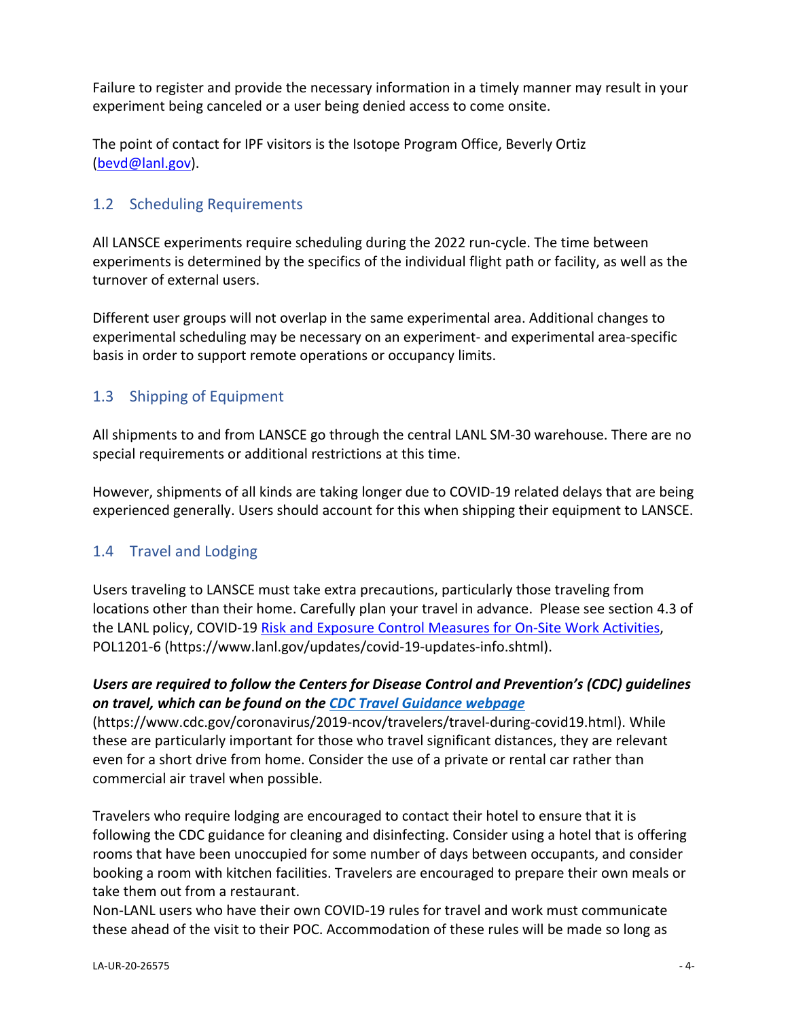Failure to register and provide the necessary information in a timely manner may result in your experiment being canceled or a user being denied access to come onsite.

The point of contact for IPF visitors is the Isotope Program Office, Beverly Ortiz (bevd@lanl.gov).

## 1.2 Scheduling Requirements

All LANSCE experiments require scheduling during the 2022 run‐cycle. The time between experiments is determined by the specifics of the individual flight path or facility, as well as the turnover of external users.

Different user groups will not overlap in the same experimental area. Additional changes to experimental scheduling may be necessary on an experiment- and experimental area-specific basis in order to support remote operations or occupancy limits.

# 1.3 Shipping of Equipment

All shipments to and from LANSCE go through the central LANL SM‐30 warehouse. There are no special requirements or additional restrictions at this time.

However, shipments of all kinds are taking longer due to COVID‐19 related delays that are being experienced generally. Users should account for this when shipping their equipment to LANSCE.

# 1.4 Travel and Lodging

Users traveling to LANSCE must take extra precautions, particularly those traveling from locations other than their home. Carefully plan your travel in advance. Please see section 4.3 of the LANL policy, COVID‐19 Risk and Exposure Control Measures for On‐Site Work Activities, POL1201‐6 (https://www.lanl.gov/updates/covid‐19‐updates‐info.shtml).

### *Users are required to follow the Centers for Disease Control and Prevention's (CDC) guidelines on travel, which can be found on the CDC Travel Guidance webpage*

(https://www.cdc.gov/coronavirus/2019‐ncov/travelers/travel‐during‐covid19.html). While these are particularly important for those who travel significant distances, they are relevant even for a short drive from home. Consider the use of a private or rental car rather than commercial air travel when possible.

Travelers who require lodging are encouraged to contact their hotel to ensure that it is following the CDC guidance for cleaning and disinfecting. Consider using a hotel that is offering rooms that have been unoccupied for some number of days between occupants, and consider booking a room with kitchen facilities. Travelers are encouraged to prepare their own meals or take them out from a restaurant.

Non‐LANL users who have their own COVID‐19 rules for travel and work must communicate these ahead of the visit to their POC. Accommodation of these rules will be made so long as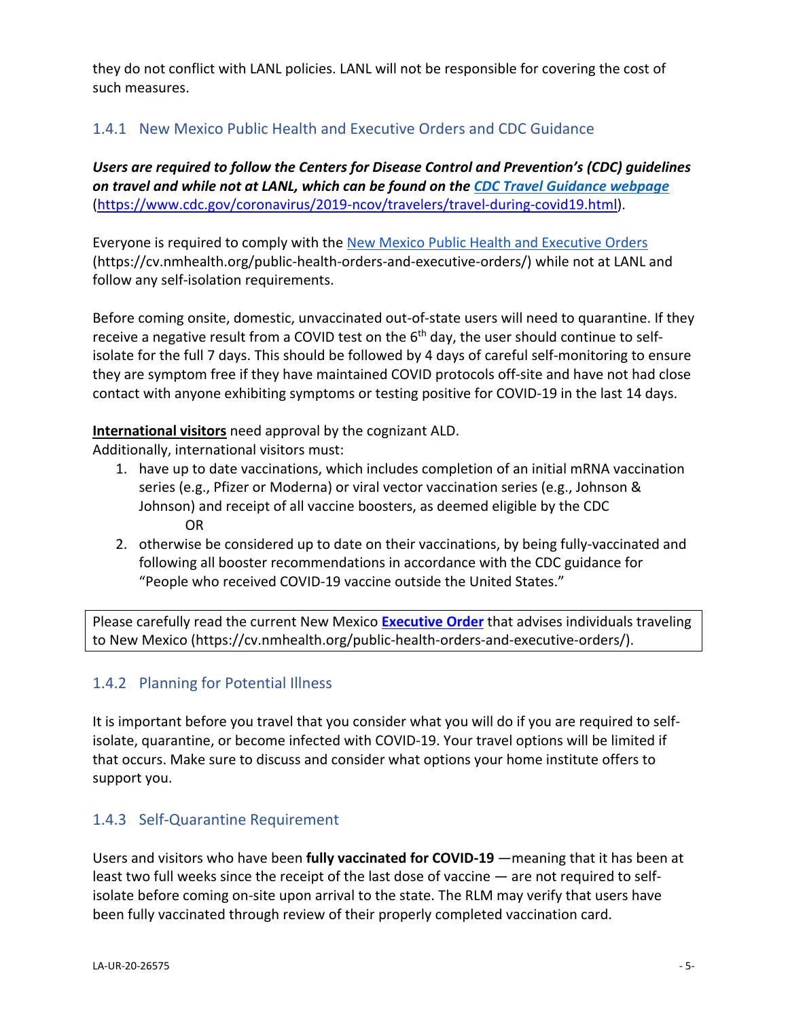they do not conflict with LANL policies. LANL will not be responsible for covering the cost of such measures.

# 1.4.1 New Mexico Public Health and Executive Orders and CDC Guidance

*Users are required to follow the Centers for Disease Control and Prevention's (CDC) guidelines on travel and while not at LANL, which can be found on the CDC Travel Guidance webpage* (https://www.cdc.gov/coronavirus/2019‐ncov/travelers/travel‐during‐covid19.html).

Everyone is required to comply with the New Mexico Public Health and Executive Orders (https://cv.nmhealth.org/public‐health‐orders‐and‐executive‐orders/) while not at LANL and follow any self‐isolation requirements.

Before coming onsite, domestic, unvaccinated out‐of‐state users will need to quarantine. If they receive a negative result from a COVID test on the 6<sup>th</sup> day, the user should continue to selfisolate for the full 7 days. This should be followed by 4 days of careful self-monitoring to ensure they are symptom free if they have maintained COVID protocols off‐site and have not had close contact with anyone exhibiting symptoms or testing positive for COVID‐19 in the last 14 days.

### **International visitors** need approval by the cognizant ALD.

Additionally, international visitors must:

- 1. have up to date vaccinations, which includes completion of an initial mRNA vaccination series (e.g., Pfizer or Moderna) or viral vector vaccination series (e.g., Johnson & Johnson) and receipt of all vaccine boosters, as deemed eligible by the CDC OR
- 2. otherwise be considered up to date on their vaccinations, by being fully-vaccinated and following all booster recommendations in accordance with the CDC guidance for "People who received COVID‐19 vaccine outside the United States."

Please carefully read the current New Mexico **Executive Order** that advises individuals traveling to New Mexico (https://cv.nmhealth.org/public‐health‐orders‐and‐executive‐orders/).

# 1.4.2 Planning for Potential Illness

It is important before you travel that you consider what you will do if you are required to self‐ isolate, quarantine, or become infected with COVID-19. Your travel options will be limited if that occurs. Make sure to discuss and consider what options your home institute offers to support you.

# 1.4.3 Self‐Quarantine Requirement

Users and visitors who have been **fully vaccinated for COVID‐19** —meaning that it has been at least two full weeks since the receipt of the last dose of vaccine — are not required to self‐ isolate before coming on‐site upon arrival to the state. The RLM may verify that users have been fully vaccinated through review of their properly completed vaccination card.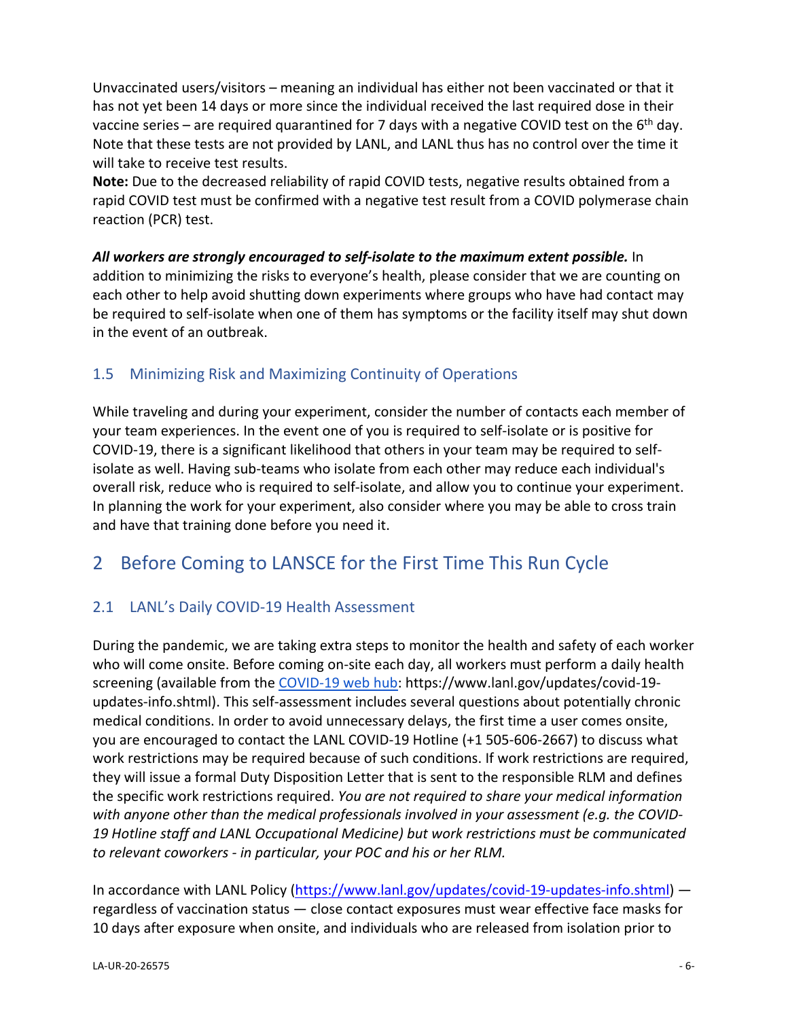Unvaccinated users/visitors – meaning an individual has either not been vaccinated or that it has not yet been 14 days or more since the individual received the last required dose in their vaccine series – are required quarantined for 7 days with a negative COVID test on the  $6<sup>th</sup>$  day. Note that these tests are not provided by LANL, and LANL thus has no control over the time it will take to receive test results.

**Note:** Due to the decreased reliability of rapid COVID tests, negative results obtained from a rapid COVID test must be confirmed with a negative test result from a COVID polymerase chain reaction (PCR) test.

*All workers are strongly encouraged to self‐isolate to the maximum extent possible.* In addition to minimizing the risks to everyone's health, please consider that we are counting on each other to help avoid shutting down experiments where groups who have had contact may be required to self‐isolate when one of them has symptoms or the facility itself may shut down in the event of an outbreak.

# 1.5 Minimizing Risk and Maximizing Continuity of Operations

While traveling and during your experiment, consider the number of contacts each member of your team experiences. In the event one of you is required to self‐isolate or is positive for COVID‐19, there is a significant likelihood that others in your team may be required to self‐ isolate as well. Having sub‐teams who isolate from each other may reduce each individual's overall risk, reduce who is required to self‐isolate, and allow you to continue your experiment. In planning the work for your experiment, also consider where you may be able to cross train and have that training done before you need it.

# 2 Before Coming to LANSCE for the First Time This Run Cycle

# 2.1 LANL's Daily COVID-19 Health Assessment

During the pandemic, we are taking extra steps to monitor the health and safety of each worker who will come onsite. Before coming on-site each day, all workers must perform a daily health screening (available from the COVID‐19 web hub: https://www.lanl.gov/updates/covid‐19‐ updates‐info.shtml). This self‐assessment includes several questions about potentially chronic medical conditions. In order to avoid unnecessary delays, the first time a user comes onsite, you are encouraged to contact the LANL COVID‐19 Hotline (+1 505‐606‐2667) to discuss what work restrictions may be required because of such conditions. If work restrictions are required, they will issue a formal Duty Disposition Letter that is sent to the responsible RLM and defines the specific work restrictions required. *You are not required to share your medical information with anyone other than the medical professionals involved in your assessment (e.g. the COVID‐ 19 Hotline staff and LANL Occupational Medicine) but work restrictions must be communicated to relevant coworkers ‐ in particular, your POC and his or her RLM.*

In accordance with LANL Policy (https://www.lanl.gov/updates/covid-19-updates-info.shtml) regardless of vaccination status — close contact exposures must wear effective face masks for 10 days after exposure when onsite, and individuals who are released from isolation prior to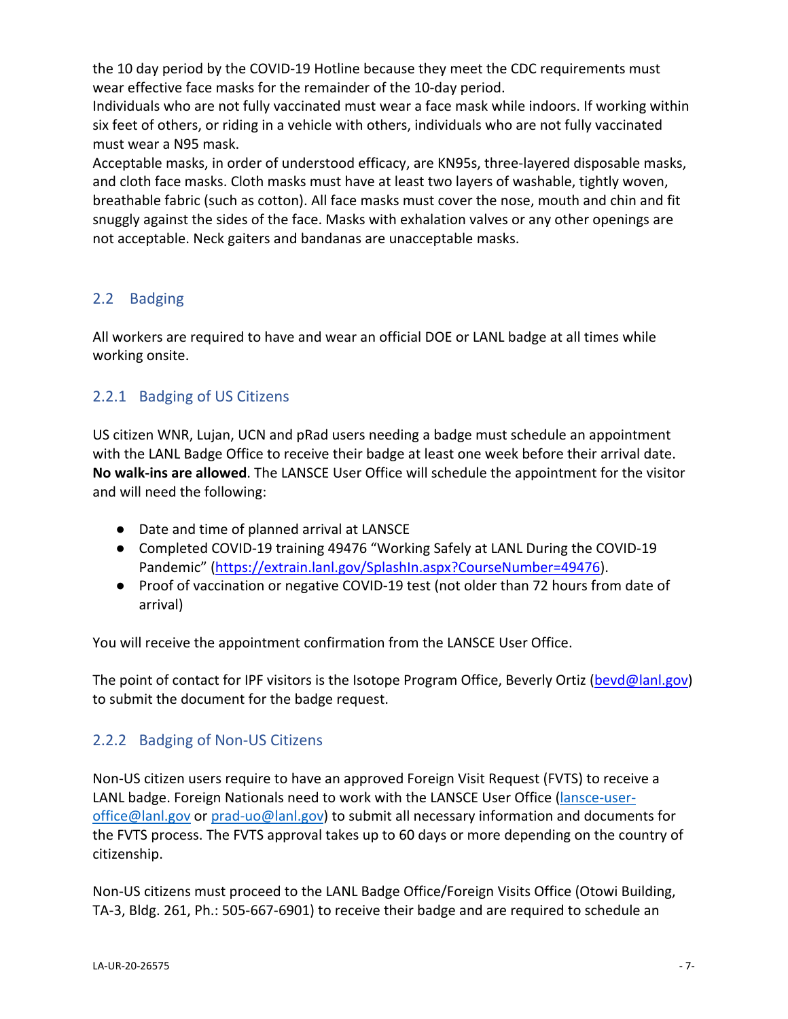the 10 day period by the COVID‐19 Hotline because they meet the CDC requirements must wear effective face masks for the remainder of the 10‐day period.

Individuals who are not fully vaccinated must wear a face mask while indoors. If working within six feet of others, or riding in a vehicle with others, individuals who are not fully vaccinated must wear a N95 mask.

Acceptable masks, in order of understood efficacy, are KN95s, three‐layered disposable masks, and cloth face masks. Cloth masks must have at least two layers of washable, tightly woven, breathable fabric (such as cotton). All face masks must cover the nose, mouth and chin and fit snuggly against the sides of the face. Masks with exhalation valves or any other openings are not acceptable. Neck gaiters and bandanas are unacceptable masks.

# 2.2 Badging

All workers are required to have and wear an official DOE or LANL badge at all times while working onsite.

# 2.2.1 Badging of US Citizens

US citizen WNR, Lujan, UCN and pRad users needing a badge must schedule an appointment with the LANL Badge Office to receive their badge at least one week before their arrival date. **No walk‐ins are allowed**. The LANSCE User Office will schedule the appointment for the visitor and will need the following:

- Date and time of planned arrival at LANSCE
- Completed COVID-19 training 49476 "Working Safely at LANL During the COVID-19 Pandemic" (https://extrain.lanl.gov/SplashIn.aspx?CourseNumber=49476).
- Proof of vaccination or negative COVID-19 test (not older than 72 hours from date of arrival)

You will receive the appointment confirmation from the LANSCE User Office.

The point of contact for IPF visitors is the Isotope Program Office, Beverly Ortiz (bevd@lanl.gov) to submit the document for the badge request.

# 2.2.2 Badging of Non‐US Citizens

Non‐US citizen users require to have an approved Foreign Visit Request (FVTS) to receive a LANL badge. Foreign Nationals need to work with the LANSCE User Office (lansce-useroffice@lanl.gov or prad‐uo@lanl.gov) to submit all necessary information and documents for the FVTS process. The FVTS approval takes up to 60 days or more depending on the country of citizenship.

Non‐US citizens must proceed to the LANL Badge Office/Foreign Visits Office (Otowi Building, TA‐3, Bldg. 261, Ph.: 505‐667‐6901) to receive their badge and are required to schedule an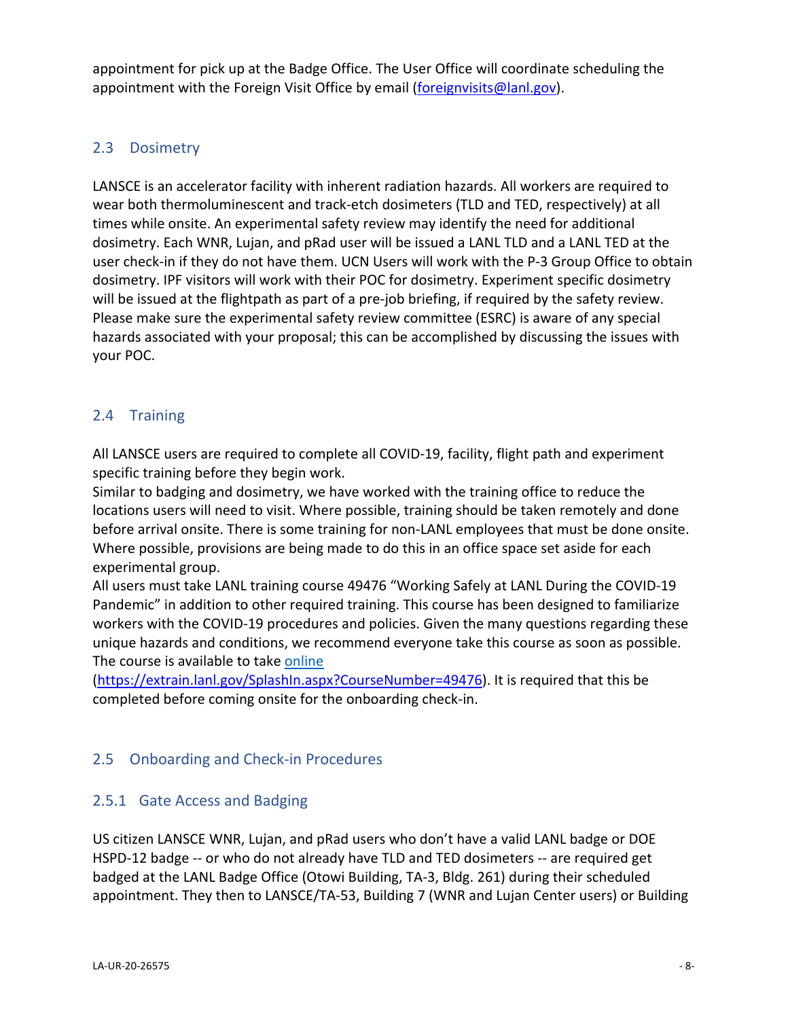appointment for pick up at the Badge Office. The User Office will coordinate scheduling the appointment with the Foreign Visit Office by email (foreignvisits@lanl.gov).

# 2.3 Dosimetry

LANSCE is an accelerator facility with inherent radiation hazards. All workers are required to wear both thermoluminescent and track-etch dosimeters (TLD and TED, respectively) at all times while onsite. An experimental safety review may identify the need for additional dosimetry. Each WNR, Lujan, and pRad user will be issued a LANL TLD and a LANL TED at the user check-in if they do not have them. UCN Users will work with the P-3 Group Office to obtain dosimetry. IPF visitors will work with their POC for dosimetry. Experiment specific dosimetry will be issued at the flightpath as part of a pre-job briefing, if required by the safety review. Please make sure the experimental safety review committee (ESRC) is aware of any special hazards associated with your proposal; this can be accomplished by discussing the issues with your POC.

# 2.4 Training

All LANSCE users are required to complete all COVID‐19, facility, flight path and experiment specific training before they begin work.

Similar to badging and dosimetry, we have worked with the training office to reduce the locations users will need to visit. Where possible, training should be taken remotely and done before arrival onsite. There is some training for non-LANL employees that must be done onsite. Where possible, provisions are being made to do this in an office space set aside for each experimental group.

All users must take LANL training course 49476 "Working Safely at LANL During the COVID‐19 Pandemic" in addition to other required training. This course has been designed to familiarize workers with the COVID-19 procedures and policies. Given the many questions regarding these unique hazards and conditions, we recommend everyone take this course as soon as possible. The course is available to take online

(https://extrain.lanl.gov/SplashIn.aspx?CourseNumber=49476). It is required that this be completed before coming onsite for the onboarding check‐in.

### 2.5 Onboarding and Check‐in Procedures

### 2.5.1 Gate Access and Badging

US citizen LANSCE WNR, Lujan, and pRad users who don't have a valid LANL badge or DOE HSPD-12 badge -- or who do not already have TLD and TED dosimeters -- are required get badged at the LANL Badge Office (Otowi Building, TA‐3, Bldg. 261) during their scheduled appointment. They then to LANSCE/TA‐53, Building 7 (WNR and Lujan Center users) or Building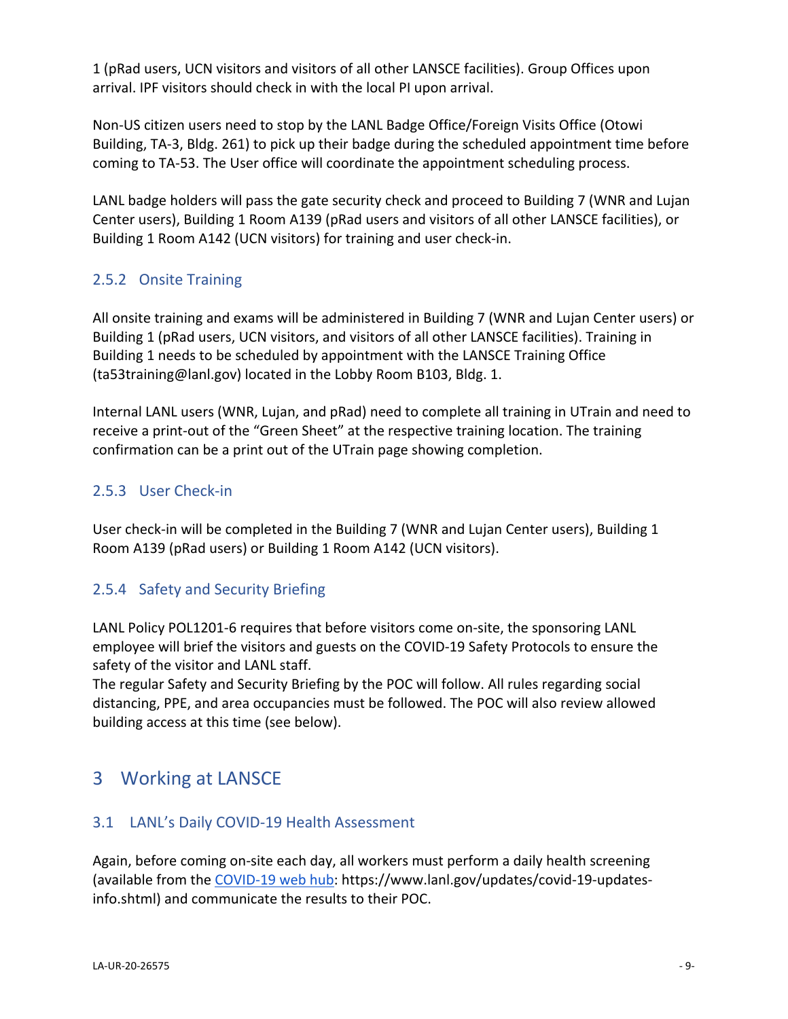1 (pRad users, UCN visitors and visitors of all other LANSCE facilities). Group Offices upon arrival. IPF visitors should check in with the local PI upon arrival.

Non‐US citizen users need to stop by the LANL Badge Office/Foreign Visits Office (Otowi Building, TA‐3, Bldg. 261) to pick up their badge during the scheduled appointment time before coming to TA‐53. The User office will coordinate the appointment scheduling process.

LANL badge holders will pass the gate security check and proceed to Building 7 (WNR and Lujan Center users), Building 1 Room A139 (pRad users and visitors of all other LANSCE facilities), or Building 1 Room A142 (UCN visitors) for training and user check‐in.

# 2.5.2 Onsite Training

All onsite training and exams will be administered in Building 7 (WNR and Lujan Center users) or Building 1 (pRad users, UCN visitors, and visitors of all other LANSCE facilities). Training in Building 1 needs to be scheduled by appointment with the LANSCE Training Office (ta53training@lanl.gov) located in the Lobby Room B103, Bldg. 1.

Internal LANL users (WNR, Lujan, and pRad) need to complete all training in UTrain and need to receive a print-out of the "Green Sheet" at the respective training location. The training confirmation can be a print out of the UTrain page showing completion.

# 2.5.3 User Check‐in

User check-in will be completed in the Building 7 (WNR and Lujan Center users), Building 1 Room A139 (pRad users) or Building 1 Room A142 (UCN visitors).

# 2.5.4 Safety and Security Briefing

LANL Policy POL1201‐6 requires that before visitors come on‐site, the sponsoring LANL employee will brief the visitors and guests on the COVID‐19 Safety Protocols to ensure the safety of the visitor and LANL staff.

The regular Safety and Security Briefing by the POC will follow. All rules regarding social distancing, PPE, and area occupancies must be followed. The POC will also review allowed building access at this time (see below).

# 3 Working at LANSCE

# 3.1 LANL's Daily COVID‐19 Health Assessment

Again, before coming on‐site each day, all workers must perform a daily health screening (available from the COVID‐19 web hub: https://www.lanl.gov/updates/covid‐19‐updates‐ info.shtml) and communicate the results to their POC.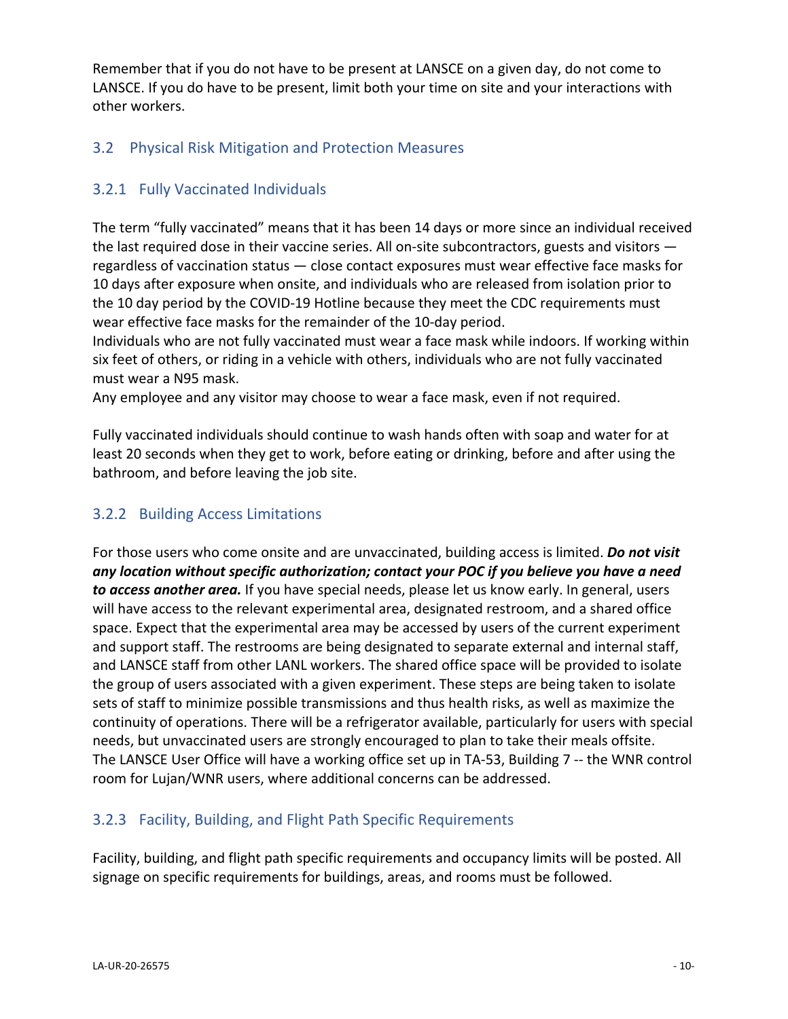Remember that if you do not have to be present at LANSCE on a given day, do not come to LANSCE. If you do have to be present, limit both your time on site and your interactions with other workers.

# 3.2 Physical Risk Mitigation and Protection Measures

# 3.2.1 Fully Vaccinated Individuals

The term "fully vaccinated" means that it has been 14 days or more since an individual received the last required dose in their vaccine series. All on-site subcontractors, guests and visitors  $$ regardless of vaccination status — close contact exposures must wear effective face masks for 10 days after exposure when onsite, and individuals who are released from isolation prior to the 10 day period by the COVID‐19 Hotline because they meet the CDC requirements must wear effective face masks for the remainder of the 10‐day period.

Individuals who are not fully vaccinated must wear a face mask while indoors. If working within six feet of others, or riding in a vehicle with others, individuals who are not fully vaccinated must wear a N95 mask.

Any employee and any visitor may choose to wear a face mask, even if not required.

Fully vaccinated individuals should continue to wash hands often with soap and water for at least 20 seconds when they get to work, before eating or drinking, before and after using the bathroom, and before leaving the job site.

# 3.2.2 Building Access Limitations

For those users who come onsite and are unvaccinated, building access is limited. *Do not visit any location without specific authorization; contact your POC if you believe you have a need to access another area.* If you have special needs, please let us know early. In general, users will have access to the relevant experimental area, designated restroom, and a shared office space. Expect that the experimental area may be accessed by users of the current experiment and support staff. The restrooms are being designated to separate external and internal staff, and LANSCE staff from other LANL workers. The shared office space will be provided to isolate the group of users associated with a given experiment. These steps are being taken to isolate sets of staff to minimize possible transmissions and thus health risks, as well as maximize the continuity of operations. There will be a refrigerator available, particularly for users with special needs, but unvaccinated users are strongly encouraged to plan to take their meals offsite. The LANSCE User Office will have a working office set up in TA‐53, Building 7 ‐‐ the WNR control room for Lujan/WNR users, where additional concerns can be addressed.

# 3.2.3 Facility, Building, and Flight Path Specific Requirements

Facility, building, and flight path specific requirements and occupancy limits will be posted. All signage on specific requirements for buildings, areas, and rooms must be followed.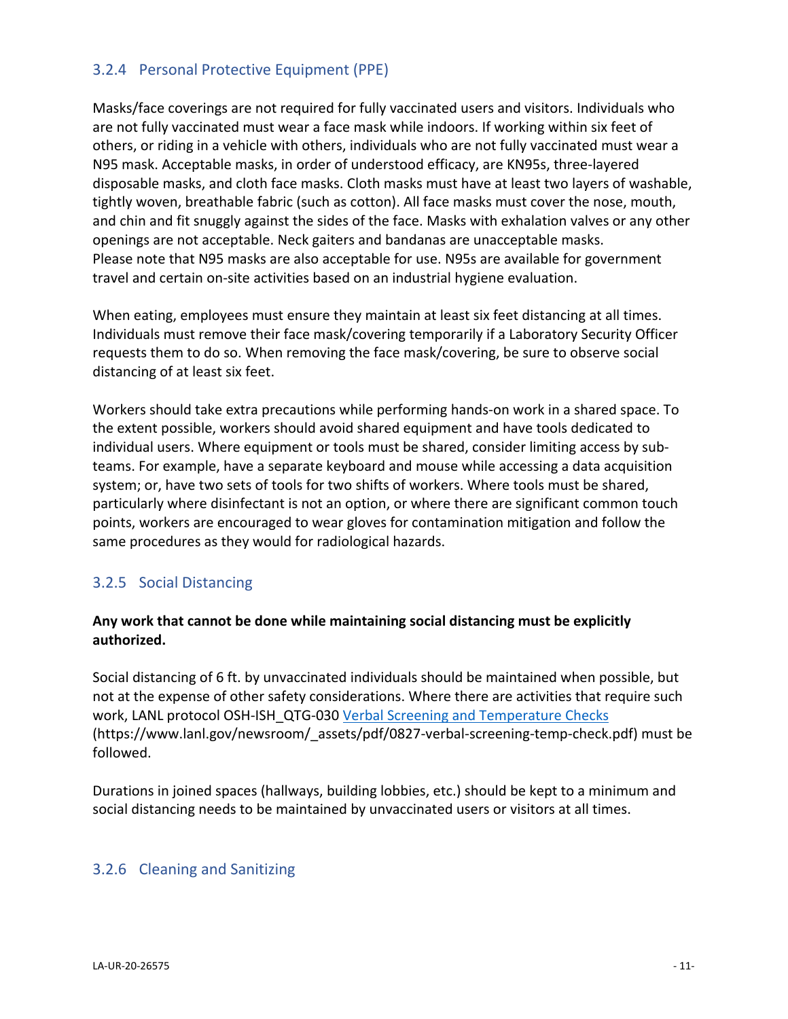# 3.2.4 Personal Protective Equipment (PPE)

Masks/face coverings are not required for fully vaccinated users and visitors. Individuals who are not fully vaccinated must wear a face mask while indoors. If working within six feet of others, or riding in a vehicle with others, individuals who are not fully vaccinated must wear a N95 mask. Acceptable masks, in order of understood efficacy, are KN95s, three‐layered disposable masks, and cloth face masks. Cloth masks must have at least two layers of washable, tightly woven, breathable fabric (such as cotton). All face masks must cover the nose, mouth, and chin and fit snuggly against the sides of the face. Masks with exhalation valves or any other openings are not acceptable. Neck gaiters and bandanas are unacceptable masks. Please note that N95 masks are also acceptable for use. N95s are available for government travel and certain on‐site activities based on an industrial hygiene evaluation.

When eating, employees must ensure they maintain at least six feet distancing at all times. Individuals must remove their face mask/covering temporarily if a Laboratory Security Officer requests them to do so. When removing the face mask/covering, be sure to observe social distancing of at least six feet.

Workers should take extra precautions while performing hands‐on work in a shared space. To the extent possible, workers should avoid shared equipment and have tools dedicated to individual users. Where equipment or tools must be shared, consider limiting access by sub‐ teams. For example, have a separate keyboard and mouse while accessing a data acquisition system; or, have two sets of tools for two shifts of workers. Where tools must be shared, particularly where disinfectant is not an option, or where there are significant common touch points, workers are encouraged to wear gloves for contamination mitigation and follow the same procedures as they would for radiological hazards.

### 3.2.5 Social Distancing

#### **Any work that cannot be done while maintaining social distancing must be explicitly authorized.**

Social distancing of 6 ft. by unvaccinated individuals should be maintained when possible, but not at the expense of other safety considerations. Where there are activities that require such work, LANL protocol OSH-ISH\_QTG-030 Verbal Screening and Temperature Checks (https://www.lanl.gov/newsroom/\_assets/pdf/0827‐verbal‐screening‐temp‐check.pdf) must be followed.

Durations in joined spaces (hallways, building lobbies, etc.) should be kept to a minimum and social distancing needs to be maintained by unvaccinated users or visitors at all times.

#### 3.2.6 Cleaning and Sanitizing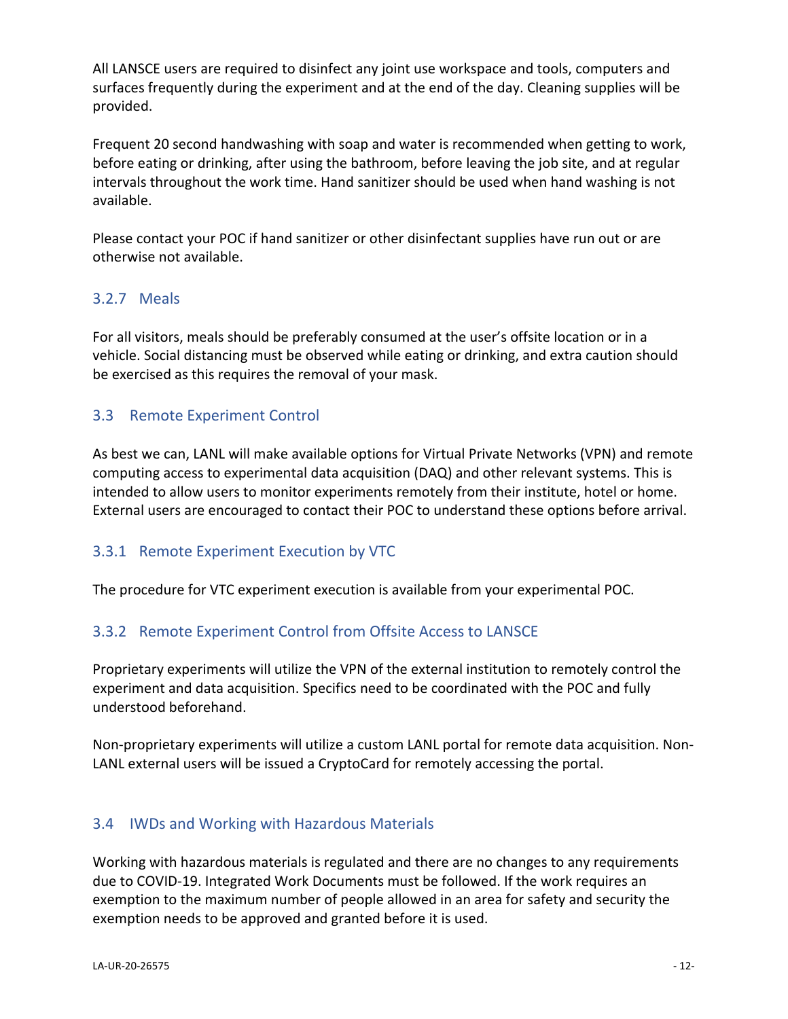All LANSCE users are required to disinfect any joint use workspace and tools, computers and surfaces frequently during the experiment and at the end of the day. Cleaning supplies will be provided.

Frequent 20 second handwashing with soap and water is recommended when getting to work, before eating or drinking, after using the bathroom, before leaving the job site, and at regular intervals throughout the work time. Hand sanitizer should be used when hand washing is not available.

Please contact your POC if hand sanitizer or other disinfectant supplies have run out or are otherwise not available.

### 3.2.7 Meals

For all visitors, meals should be preferably consumed at the user's offsite location or in a vehicle. Social distancing must be observed while eating or drinking, and extra caution should be exercised as this requires the removal of your mask.

# 3.3 Remote Experiment Control

As best we can, LANL will make available options for Virtual Private Networks (VPN) and remote computing access to experimental data acquisition (DAQ) and other relevant systems. This is intended to allow users to monitor experiments remotely from their institute, hotel or home. External users are encouraged to contact their POC to understand these options before arrival.

### 3.3.1 Remote Experiment Execution by VTC

The procedure for VTC experiment execution is available from your experimental POC.

### 3.3.2 Remote Experiment Control from Offsite Access to LANSCE

Proprietary experiments will utilize the VPN of the external institution to remotely control the experiment and data acquisition. Specifics need to be coordinated with the POC and fully understood beforehand.

Non‐proprietary experiments will utilize a custom LANL portal for remote data acquisition. Non‐ LANL external users will be issued a CryptoCard for remotely accessing the portal.

### 3.4 IWDs and Working with Hazardous Materials

Working with hazardous materials is regulated and there are no changes to any requirements due to COVID‐19. Integrated Work Documents must be followed. If the work requires an exemption to the maximum number of people allowed in an area for safety and security the exemption needs to be approved and granted before it is used.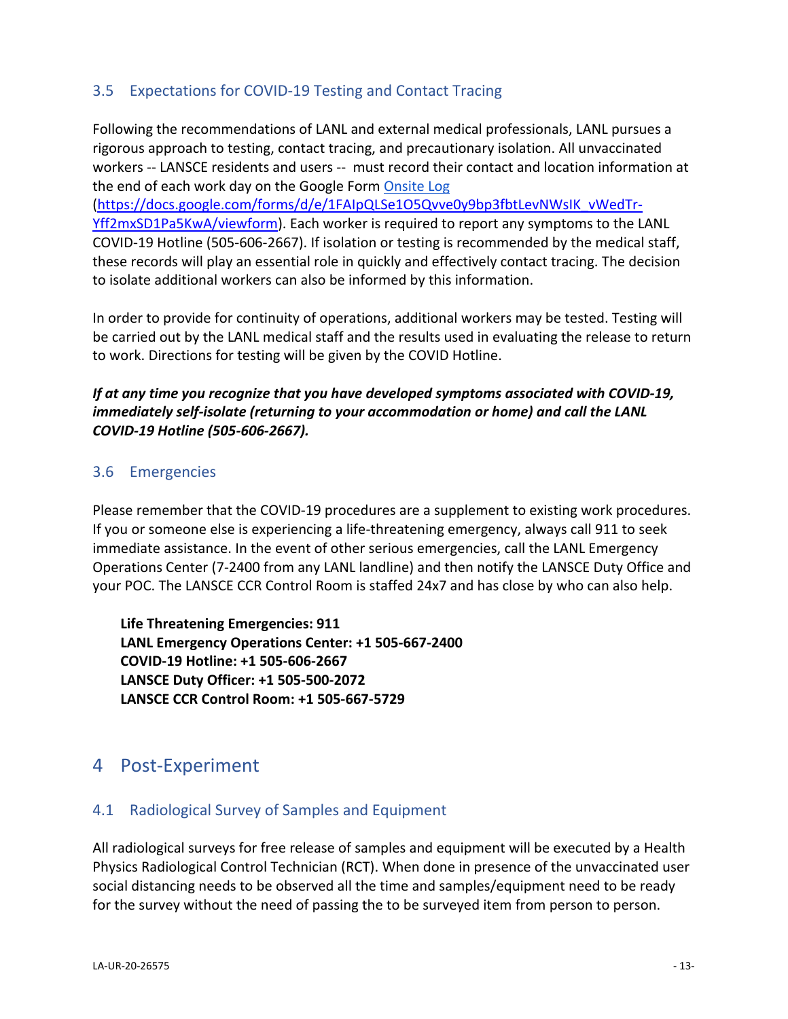### 3.5 Expectations for COVID‐19 Testing and Contact Tracing

Following the recommendations of LANL and external medical professionals, LANL pursues a rigorous approach to testing, contact tracing, and precautionary isolation. All unvaccinated workers -- LANSCE residents and users -- must record their contact and location information at the end of each work day on the Google Form Onsite Log

(https://docs.google.com/forms/d/e/1FAIpQLSe1O5Qvve0y9bp3fbtLevNWsIK\_vWedTr‐ Yff2mxSD1Pa5KwA/viewform). Each worker is required to report any symptoms to the LANL COVID‐19 Hotline (505‐606‐2667). If isolation or testing is recommended by the medical staff, these records will play an essential role in quickly and effectively contact tracing. The decision to isolate additional workers can also be informed by this information.

In order to provide for continuity of operations, additional workers may be tested. Testing will be carried out by the LANL medical staff and the results used in evaluating the release to return to work. Directions for testing will be given by the COVID Hotline.

### *If at any time you recognize that you have developed symptoms associated with COVID‐19, immediately self‐isolate (returning to your accommodation or home) and call the LANL COVID‐19 Hotline (505‐606‐2667).*

#### 3.6 Emergencies

Please remember that the COVID‐19 procedures are a supplement to existing work procedures. If you or someone else is experiencing a life‐threatening emergency, always call 911 to seek immediate assistance. In the event of other serious emergencies, call the LANL Emergency Operations Center (7‐2400 from any LANL landline) and then notify the LANSCE Duty Office and your POC. The LANSCE CCR Control Room is staffed 24x7 and has close by who can also help.

**Life Threatening Emergencies: 911 LANL Emergency Operations Center: +1 505‐667‐2400 COVID‐19 Hotline: +1 505‐606‐2667 LANSCE Duty Officer: +1 505‐500‐2072 LANSCE CCR Control Room: +1 505‐667‐5729**

# 4 Post‐Experiment

### 4.1 Radiological Survey of Samples and Equipment

All radiological surveys for free release of samples and equipment will be executed by a Health Physics Radiological Control Technician (RCT). When done in presence of the unvaccinated user social distancing needs to be observed all the time and samples/equipment need to be ready for the survey without the need of passing the to be surveyed item from person to person.